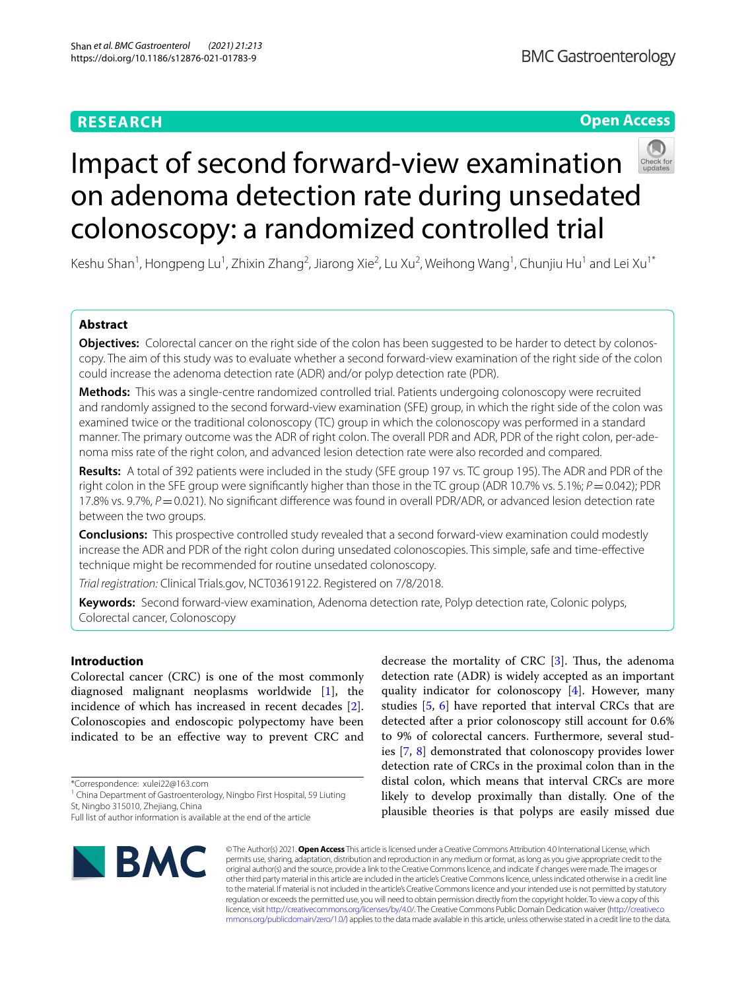# **RESEARCH**

# **Open Access**



# Impact of second forward-view examination on adenoma detection rate during unsedated colonoscopy: a randomized controlled trial

Keshu Shan<sup>1</sup>, Hongpeng Lu<sup>1</sup>, Zhixin Zhang<sup>2</sup>, Jiarong Xie<sup>2</sup>, Lu Xu<sup>2</sup>, Weihong Wang<sup>1</sup>, Chunjiu Hu<sup>1</sup> and Lei Xu<sup>1\*</sup>

# **Abstract**

**Objectives:** Colorectal cancer on the right side of the colon has been suggested to be harder to detect by colonoscopy. The aim of this study was to evaluate whether a second forward-view examination of the right side of the colon could increase the adenoma detection rate (ADR) and/or polyp detection rate (PDR).

**Methods:** This was a single-centre randomized controlled trial. Patients undergoing colonoscopy were recruited and randomly assigned to the second forward-view examination (SFE) group, in which the right side of the colon was examined twice or the traditional colonoscopy (TC) group in which the colonoscopy was performed in a standard manner. The primary outcome was the ADR of right colon. The overall PDR and ADR, PDR of the right colon, per-adenoma miss rate of the right colon, and advanced lesion detection rate were also recorded and compared.

**Results:** A total of 392 patients were included in the study (SFE group 197 vs. TC group 195). The ADR and PDR of the right colon in the SFE group were significantly higher than those in the TC group (ADR 10.7% vs. 5.1%; *P*=0.042); PDR 17.8% vs. 9.7%,  $P = 0.021$ ). No significant difference was found in overall PDR/ADR, or advanced lesion detection rate between the two groups.

**Conclusions:** This prospective controlled study revealed that a second forward-view examination could modestly increase the ADR and PDR of the right colon during unsedated colonoscopies. This simple, safe and time-efective technique might be recommended for routine unsedated colonoscopy.

*Trial registration:* Clinical Trials.gov, NCT03619122. Registered on 7/8/2018.

**Keywords:** Second forward-view examination, Adenoma detection rate, Polyp detection rate, Colonic polyps, Colorectal cancer, Colonoscopy

# **Introduction**

Colorectal cancer (CRC) is one of the most commonly diagnosed malignant neoplasms worldwide [[1](#page-6-0)], the incidence of which has increased in recent decades [\[2](#page-6-1)]. Colonoscopies and endoscopic polypectomy have been indicated to be an efective way to prevent CRC and

\*Correspondence: xulei22@163.com

<sup>1</sup> China Department of Gastroenterology, Ningbo First Hospital, 59 Liuting St, Ningbo 315010, Zhejiang, China

Full list of author information is available at the end of the article



decrease the mortality of CRC  $[3]$  $[3]$ . Thus, the adenoma detection rate (ADR) is widely accepted as an important quality indicator for colonoscopy  $[4]$  $[4]$ . However, many studies [\[5,](#page-6-4) [6\]](#page-6-5) have reported that interval CRCs that are detected after a prior colonoscopy still account for 0.6% to 9% of colorectal cancers. Furthermore, several studies [\[7](#page-6-6), [8](#page-6-7)] demonstrated that colonoscopy provides lower detection rate of CRCs in the proximal colon than in the distal colon, which means that interval CRCs are more likely to develop proximally than distally. One of the plausible theories is that polyps are easily missed due

© The Author(s) 2021. **Open Access** This article is licensed under a Creative Commons Attribution 4.0 International License, which permits use, sharing, adaptation, distribution and reproduction in any medium or format, as long as you give appropriate credit to the original author(s) and the source, provide a link to the Creative Commons licence, and indicate if changes were made. The images or other third party material in this article are included in the article's Creative Commons licence, unless indicated otherwise in a credit line to the material. If material is not included in the article's Creative Commons licence and your intended use is not permitted by statutory regulation or exceeds the permitted use, you will need to obtain permission directly from the copyright holder. To view a copy of this licence, visit [http://creativecommons.org/licenses/by/4.0/.](http://creativecommons.org/licenses/by/4.0/) The Creative Commons Public Domain Dedication waiver ([http://creativeco](http://creativecommons.org/publicdomain/zero/1.0/) [mmons.org/publicdomain/zero/1.0/](http://creativecommons.org/publicdomain/zero/1.0/)) applies to the data made available in this article, unless otherwise stated in a credit line to the data.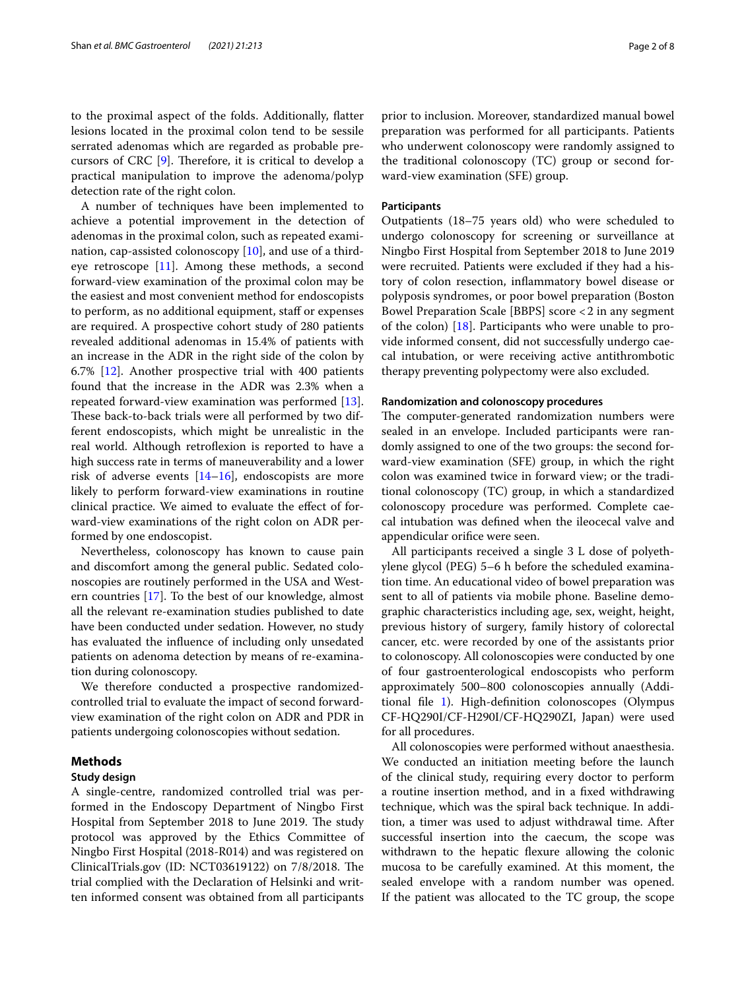to the proximal aspect of the folds. Additionally, fatter lesions located in the proximal colon tend to be sessile serrated adenomas which are regarded as probable precursors of CRC  $[9]$  $[9]$ . Therefore, it is critical to develop a practical manipulation to improve the adenoma/polyp detection rate of the right colon.

A number of techniques have been implemented to achieve a potential improvement in the detection of adenomas in the proximal colon, such as repeated examination, cap-assisted colonoscopy [[10\]](#page-6-9), and use of a thirdeye retroscope [\[11\]](#page-6-10). Among these methods, a second forward-view examination of the proximal colon may be the easiest and most convenient method for endoscopists to perform, as no additional equipment, staff or expenses are required. A prospective cohort study of 280 patients revealed additional adenomas in 15.4% of patients with an increase in the ADR in the right side of the colon by 6.7% [\[12](#page-6-11)]. Another prospective trial with 400 patients found that the increase in the ADR was 2.3% when a repeated forward-view examination was performed [\[13](#page-6-12)]. These back-to-back trials were all performed by two different endoscopists, which might be unrealistic in the real world. Although retroflexion is reported to have a high success rate in terms of maneuverability and a lower risk of adverse events  $[14–16]$  $[14–16]$  $[14–16]$  $[14–16]$ , endoscopists are more likely to perform forward-view examinations in routine clinical practice. We aimed to evaluate the efect of forward-view examinations of the right colon on ADR performed by one endoscopist.

Nevertheless, colonoscopy has known to cause pain and discomfort among the general public. Sedated colonoscopies are routinely performed in the USA and Western countries [[17\]](#page-7-1). To the best of our knowledge, almost all the relevant re-examination studies published to date have been conducted under sedation. However, no study has evaluated the infuence of including only unsedated patients on adenoma detection by means of re-examination during colonoscopy.

We therefore conducted a prospective randomizedcontrolled trial to evaluate the impact of second forwardview examination of the right colon on ADR and PDR in patients undergoing colonoscopies without sedation.

## **Methods**

## **Study design**

A single-centre, randomized controlled trial was performed in the Endoscopy Department of Ningbo First Hospital from September 2018 to June 2019. The study protocol was approved by the Ethics Committee of Ningbo First Hospital (2018-R014) and was registered on ClinicalTrials.gov (ID: NCT03619122) on 7/8/2018. Te trial complied with the Declaration of Helsinki and written informed consent was obtained from all participants prior to inclusion. Moreover, standardized manual bowel preparation was performed for all participants. Patients who underwent colonoscopy were randomly assigned to the traditional colonoscopy (TC) group or second forward-view examination (SFE) group.

#### **Participants**

Outpatients (18–75 years old) who were scheduled to undergo colonoscopy for screening or surveillance at Ningbo First Hospital from September 2018 to June 2019 were recruited. Patients were excluded if they had a history of colon resection, infammatory bowel disease or polyposis syndromes, or poor bowel preparation (Boston Bowel Preparation Scale [BBPS] score <2 in any segment of the colon) [[18](#page-7-2)]. Participants who were unable to provide informed consent, did not successfully undergo caecal intubation, or were receiving active antithrombotic therapy preventing polypectomy were also excluded.

## **Randomization and colonoscopy procedures**

The computer-generated randomization numbers were sealed in an envelope. Included participants were randomly assigned to one of the two groups: the second forward-view examination (SFE) group, in which the right colon was examined twice in forward view; or the traditional colonoscopy (TC) group, in which a standardized colonoscopy procedure was performed. Complete caecal intubation was defned when the ileocecal valve and appendicular orifce were seen.

All participants received a single 3 L dose of polyethylene glycol (PEG) 5–6 h before the scheduled examination time. An educational video of bowel preparation was sent to all of patients via mobile phone. Baseline demographic characteristics including age, sex, weight, height, previous history of surgery, family history of colorectal cancer, etc. were recorded by one of the assistants prior to colonoscopy. All colonoscopies were conducted by one of four gastroenterological endoscopists who perform approximately 500–800 colonoscopies annually (Additional fle [1\)](#page-6-14). High-defnition colonoscopes (Olympus CF-HQ290I/CF-H290I/CF-HQ290ZI, Japan) were used for all procedures.

All colonoscopies were performed without anaesthesia. We conducted an initiation meeting before the launch of the clinical study, requiring every doctor to perform a routine insertion method, and in a fxed withdrawing technique, which was the spiral back technique. In addition, a timer was used to adjust withdrawal time. After successful insertion into the caecum, the scope was withdrawn to the hepatic flexure allowing the colonic mucosa to be carefully examined. At this moment, the sealed envelope with a random number was opened. If the patient was allocated to the TC group, the scope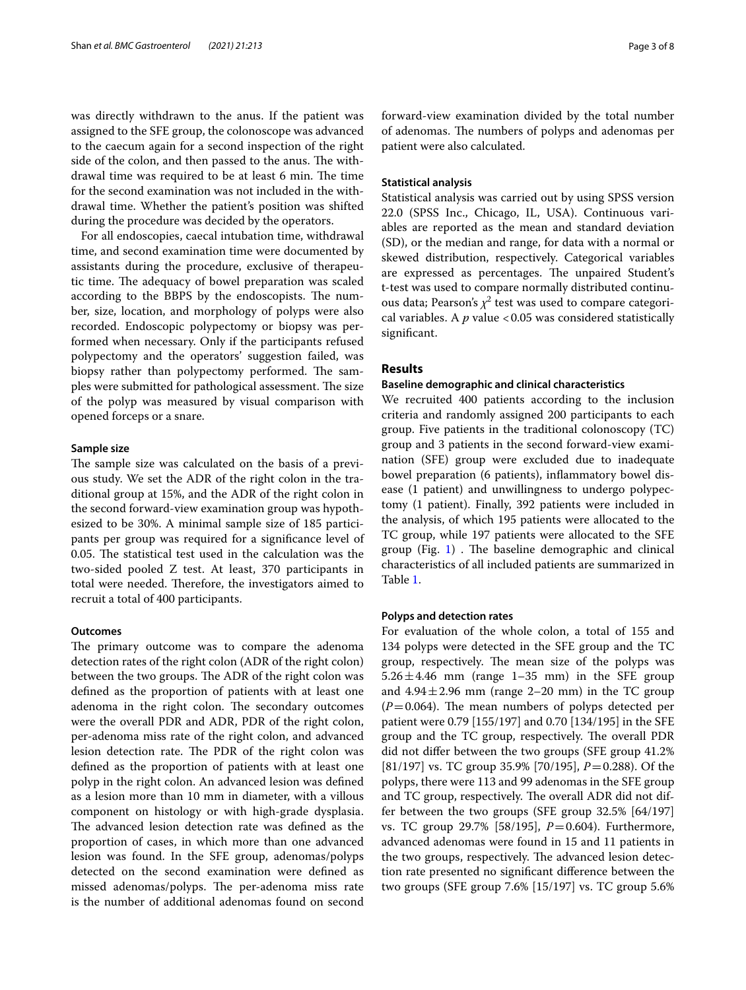was directly withdrawn to the anus. If the patient was assigned to the SFE group, the colonoscope was advanced to the caecum again for a second inspection of the right side of the colon, and then passed to the anus. The withdrawal time was required to be at least 6 min. The time for the second examination was not included in the withdrawal time. Whether the patient's position was shifted during the procedure was decided by the operators.

For all endoscopies, caecal intubation time, withdrawal time, and second examination time were documented by assistants during the procedure, exclusive of therapeutic time. The adequacy of bowel preparation was scaled according to the BBPS by the endoscopists. The number, size, location, and morphology of polyps were also recorded. Endoscopic polypectomy or biopsy was performed when necessary. Only if the participants refused polypectomy and the operators' suggestion failed, was biopsy rather than polypectomy performed. The samples were submitted for pathological assessment. The size of the polyp was measured by visual comparison with opened forceps or a snare.

## **Sample size**

The sample size was calculated on the basis of a previous study. We set the ADR of the right colon in the traditional group at 15%, and the ADR of the right colon in the second forward-view examination group was hypothesized to be 30%. A minimal sample size of 185 participants per group was required for a signifcance level of 0.05. The statistical test used in the calculation was the two-sided pooled Z test. At least, 370 participants in total were needed. Therefore, the investigators aimed to recruit a total of 400 participants.

## **Outcomes**

The primary outcome was to compare the adenoma detection rates of the right colon (ADR of the right colon) between the two groups. The ADR of the right colon was defned as the proportion of patients with at least one adenoma in the right colon. The secondary outcomes were the overall PDR and ADR, PDR of the right colon, per-adenoma miss rate of the right colon, and advanced lesion detection rate. The PDR of the right colon was defned as the proportion of patients with at least one polyp in the right colon. An advanced lesion was defned as a lesion more than 10 mm in diameter, with a villous component on histology or with high-grade dysplasia. The advanced lesion detection rate was defined as the proportion of cases, in which more than one advanced lesion was found. In the SFE group, adenomas/polyps detected on the second examination were defned as missed adenomas/polyps. The per-adenoma miss rate is the number of additional adenomas found on second forward-view examination divided by the total number of adenomas. The numbers of polyps and adenomas per patient were also calculated.

## **Statistical analysis**

Statistical analysis was carried out by using SPSS version 22.0 (SPSS Inc., Chicago, IL, USA). Continuous variables are reported as the mean and standard deviation (SD), or the median and range, for data with a normal or skewed distribution, respectively. Categorical variables are expressed as percentages. The unpaired Student's t-test was used to compare normally distributed continuous data; Pearson's  $\chi^2$  test was used to compare categorical variables. A  $p$  value <0.05 was considered statistically signifcant.

# **Results**

## **Baseline demographic and clinical characteristics**

We recruited 400 patients according to the inclusion criteria and randomly assigned 200 participants to each group. Five patients in the traditional colonoscopy (TC) group and 3 patients in the second forward-view examination (SFE) group were excluded due to inadequate bowel preparation (6 patients), infammatory bowel disease (1 patient) and unwillingness to undergo polypectomy (1 patient). Finally, 392 patients were included in the analysis, of which 195 patients were allocated to the TC group, while 197 patients were allocated to the SFE group (Fig.  $1$ ). The baseline demographic and clinical characteristics of all included patients are summarized in Table [1](#page-4-0).

## **Polyps and detection rates**

For evaluation of the whole colon, a total of 155 and 134 polyps were detected in the SFE group and the TC group, respectively. The mean size of the polyps was  $5.26 \pm 4.46$  mm (range 1–35 mm) in the SFE group and  $4.94 \pm 2.96$  mm (range 2–20 mm) in the TC group  $(P=0.064)$ . The mean numbers of polyps detected per patient were 0.79 [155/197] and 0.70 [134/195] in the SFE group and the TC group, respectively. The overall PDR did not difer between the two groups (SFE group 41.2% [81/197] vs. TC group 35.9% [70/195], *P*=0.288). Of the polyps, there were 113 and 99 adenomas in the SFE group and TC group, respectively. The overall ADR did not differ between the two groups (SFE group 32.5% [64/197] vs. TC group 29.7% [58/195], *P*=0.604). Furthermore, advanced adenomas were found in 15 and 11 patients in the two groups, respectively. The advanced lesion detection rate presented no signifcant diference between the two groups (SFE group 7.6% [15/197] vs. TC group 5.6%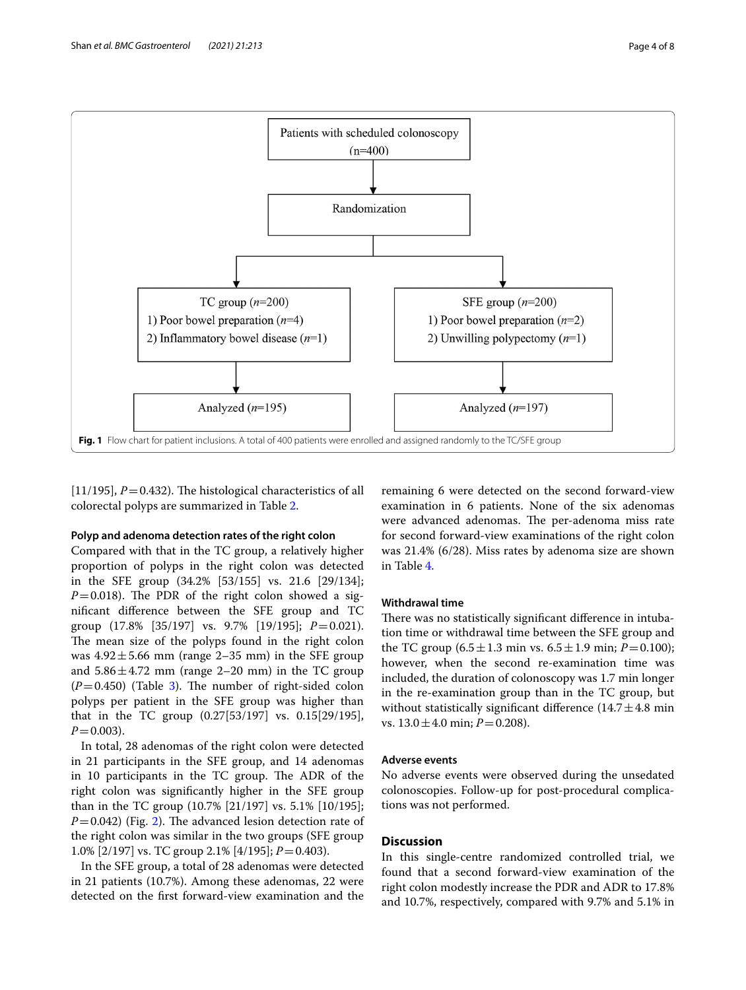

<span id="page-3-0"></span>[ $11/195$ ],  $P = 0.432$ ). The histological characteristics of all colorectal polyps are summarized in Table [2](#page-4-1).

## **Polyp and adenoma detection rates of the right colon**

Compared with that in the TC group, a relatively higher proportion of polyps in the right colon was detected in the SFE group (34.2% [53/155] vs. 21.6 [29/134];  $P=0.018$ ). The PDR of the right colon showed a signifcant diference between the SFE group and TC group (17.8% [35/197] vs. 9.7% [19/195]; *P*=0.021). The mean size of the polyps found in the right colon was  $4.92 \pm 5.66$  mm (range 2–35 mm) in the SFE group and  $5.86 \pm 4.72$  mm (range 2–20 mm) in the TC group  $(P=0.450)$  (Table [3\)](#page-4-2). The number of right-sided colon polyps per patient in the SFE group was higher than that in the TC group (0.27[53/197] vs. 0.15[29/195],  $P = 0.003$ ).

In total, 28 adenomas of the right colon were detected in 21 participants in the SFE group, and 14 adenomas in 10 participants in the TC group. The ADR of the right colon was signifcantly higher in the SFE group than in the TC group (10.7% [21/197] vs. 5.1% [10/195];  $P=0.042$  $P=0.042$ ) (Fig. 2). The advanced lesion detection rate of the right colon was similar in the two groups (SFE group 1.0% [2/197] vs. TC group 2.1% [4/195]; *P*=0.403).

In the SFE group, a total of 28 adenomas were detected in 21 patients (10.7%). Among these adenomas, 22 were detected on the frst forward-view examination and the remaining 6 were detected on the second forward-view examination in 6 patients. None of the six adenomas were advanced adenomas. The per-adenoma miss rate for second forward-view examinations of the right colon was 21.4% (6/28). Miss rates by adenoma size are shown in Table [4.](#page-5-0)

## **Withdrawal time**

There was no statistically significant difference in intubation time or withdrawal time between the SFE group and the TC group  $(6.5 \pm 1.3 \text{ min vs. } 6.5 \pm 1.9 \text{ min}; P=0.100);$ however, when the second re-examination time was included, the duration of colonoscopy was 1.7 min longer in the re-examination group than in the TC group, but without statistically significant difference  $(14.7 \pm 4.8 \text{ min})$ vs. 13.0±4.0 min; *P*=0.208).

## **Adverse events**

No adverse events were observed during the unsedated colonoscopies. Follow-up for post-procedural complications was not performed.

## **Discussion**

In this single-centre randomized controlled trial, we found that a second forward-view examination of the right colon modestly increase the PDR and ADR to 17.8% and 10.7%, respectively, compared with 9.7% and 5.1% in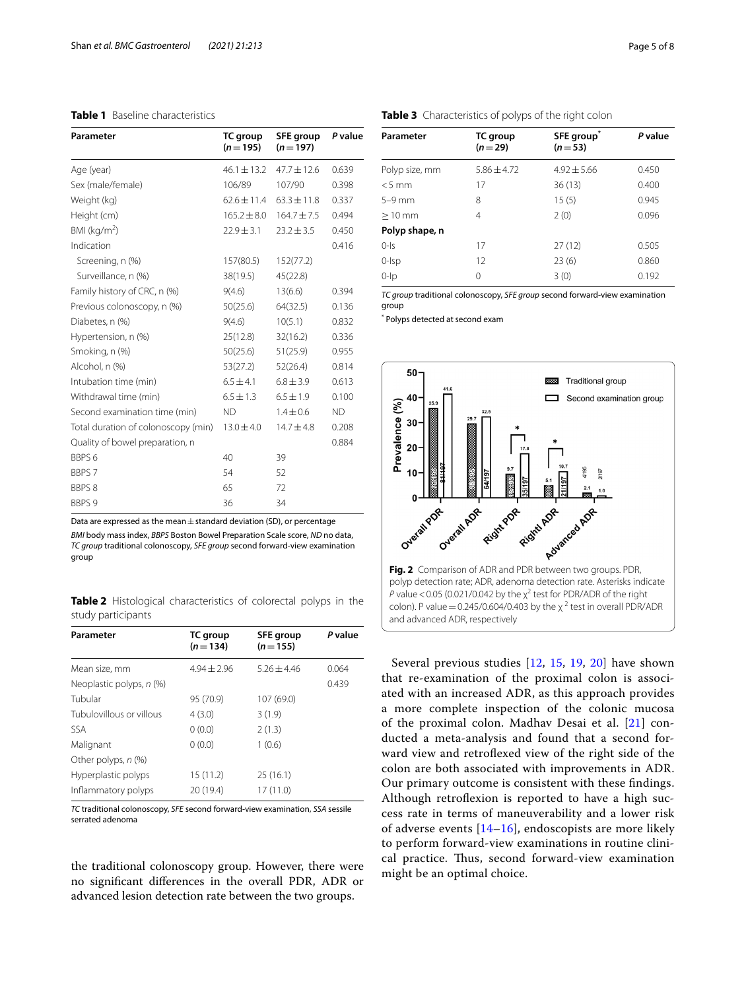# <span id="page-4-0"></span>**Table 1** Baseline characteristics

| Parameter                           | TC group<br>$(n=195)$ | <b>SFE</b> group<br>$(n=197)$ | P value |
|-------------------------------------|-----------------------|-------------------------------|---------|
| Age (year)                          | $46.1 \pm 13.2$       | $47.7 \pm 12.6$               | 0.639   |
| Sex (male/female)                   | 106/89                | 107/90                        | 0.398   |
| Weight (kg)                         | $62.6 \pm 11.4$       | $63.3 \pm 11.8$               | 0.337   |
| Height (cm)                         | $165.2 \pm 8.0$       | $164.7 \pm 7.5$               | 0.494   |
| BMI ( $kg/m2$ )                     | $22.9 \pm 3.1$        | $23.2 \pm 3.5$                | 0.450   |
| Indication                          |                       |                               | 0.416   |
| Screening, n (%)                    | 157(80.5)             | 152(77.2)                     |         |
| Surveillance, n (%)                 | 38(19.5)              | 45(22.8)                      |         |
| Family history of CRC, n (%)        | 9(4.6)                | 13(6.6)                       | 0.394   |
| Previous colonoscopy, n (%)         | 50(25.6)              | 64(32.5)                      | 0.136   |
| Diabetes, n (%)                     | 9(4.6)                | 10(5.1)                       | 0.832   |
| Hypertension, n (%)                 | 25(12.8)              | 32(16.2)                      | 0.336   |
| Smoking, n (%)                      | 50(25.6)              | 51(25.9)                      | 0.955   |
| Alcohol, n (%)                      | 53(27.2)              | 52(26.4)                      | 0.814   |
| Intubation time (min)               | $6.5 \pm 4.1$         | $6.8 \pm 3.9$                 | 0.613   |
| Withdrawal time (min)               | $6.5 \pm 1.3$         | $6.5 \pm 1.9$                 | 0.100   |
| Second examination time (min)       | <b>ND</b>             | $1.4 \pm 0.6$                 | ND.     |
| Total duration of colonoscopy (min) | $13.0 \pm 4.0$        | $14.7 \pm 4.8$                | 0.208   |
| Quality of bowel preparation, n     |                       |                               | 0.884   |
| BBPS <sub>6</sub>                   | 40                    | 39                            |         |
| BBPS 7                              | 54                    | 52                            |         |
| <b>BBPS8</b>                        | 65                    | 72                            |         |
| BBPS 9                              | 36                    | 34                            |         |

Data are expressed as the mean $\pm$  standard deviation (SD), or percentage

*BMI* body mass index, *BBPS* Boston Bowel Preparation Scale score, *ND* no data, *TC group* traditional colonoscopy, *SFE group* second forward-view examination group

<span id="page-4-1"></span>**Table 2** Histological characteristics of colorectal polyps in the study participants

| Parameter                | TC group<br>$(n=134)$ | <b>SFE group</b><br>$(n=155)$ | P value |
|--------------------------|-----------------------|-------------------------------|---------|
| Mean size, mm            | $4.94 + 2.96$         | $5.26 + 4.46$                 | 0.064   |
| Neoplastic polyps, n (%) |                       |                               | 0.439   |
| Tubular                  | 95 (70.9)             | 107 (69.0)                    |         |
| Tubulovillous or villous | 4(3.0)                | 3(1.9)                        |         |
| <b>SSA</b>               | 0(0.0)                | 2(1.3)                        |         |
| Malignant                | 0(0.0)                | 1(0.6)                        |         |
| Other polyps, n (%)      |                       |                               |         |
| Hyperplastic polyps      | 15(11.2)              | 25(16.1)                      |         |
| Inflammatory polyps      | 20 (19.4)             | 17 (11.0)                     |         |

*TC* traditional colonoscopy, *SFE* second forward-view examination, *SSA* sessile serrated adenoma

the traditional colonoscopy group. However, there were no signifcant diferences in the overall PDR, ADR or advanced lesion detection rate between the two groups.

<span id="page-4-2"></span>

| Parameter      | TC group<br>$(n=29)$ | SFE group<br>$(n=53)$ | P value |
|----------------|----------------------|-----------------------|---------|
| Polyp size, mm | $5.86 + 4.72$        | $4.92 \pm 5.66$       | 0.450   |
| $< 5$ mm       | 17                   | 36(13)                | 0.400   |
| $5-9$ mm       | 8                    | 15(5)                 | 0.945   |
| $>10$ mm       | 4                    | 2(0)                  | 0.096   |
| Polyp shape, n |                      |                       |         |
| $0-1s$         | 17                   | 27(12)                | 0.505   |
| $0$ - $sp$     | 12                   | 23(6)                 | 0.860   |
| $0$ - $ p $    | 0                    | 3(0)                  | 0.192   |
|                |                      |                       |         |

*TC group* traditional colonoscopy, *SFE group* second forward-view examination group

\* Polyps detected at second exam



<span id="page-4-3"></span>Several previous studies [[12](#page-6-11), [15](#page-7-3), [19](#page-7-4), [20](#page-7-5)] have shown that re-examination of the proximal colon is associated with an increased ADR, as this approach provides a more complete inspection of the colonic mucosa of the proximal colon. Madhav Desai et al. [[21](#page-7-6)] conducted a meta-analysis and found that a second forward view and retrofexed view of the right side of the colon are both associated with improvements in ADR. Our primary outcome is consistent with these fndings. Although retroflexion is reported to have a high success rate in terms of maneuverability and a lower risk of adverse events  $[14–16]$  $[14–16]$  $[14–16]$ , endoscopists are more likely to perform forward-view examinations in routine clinical practice. Thus, second forward-view examination might be an optimal choice.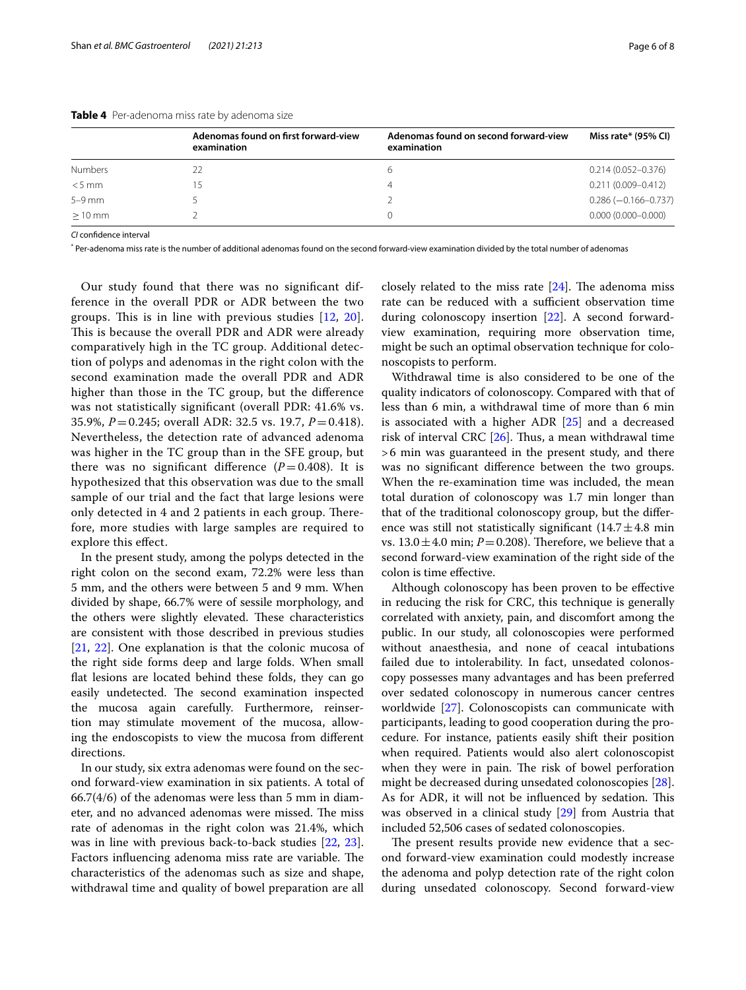| Adenomas found on first forward-view<br>examination | Adenomas found on second forward-view<br>examination | Miss rate* (95% CI)      |  |
|-----------------------------------------------------|------------------------------------------------------|--------------------------|--|
|                                                     |                                                      | $0.214(0.052 - 0.376)$   |  |
|                                                     |                                                      | $0.211(0.009 - 0.412)$   |  |
|                                                     |                                                      | $0.286 (-0.166 - 0.737)$ |  |
|                                                     |                                                      | $0.000(0.000 - 0.000)$   |  |
|                                                     |                                                      |                          |  |

<span id="page-5-0"></span>**Table 4** Per-adenoma miss rate by adenoma size

*CI* confdence interval

\* Per-adenoma miss rate is the number of additional adenomas found on the second forward-view examination divided by the total number of adenomas

Our study found that there was no signifcant difference in the overall PDR or ADR between the two groups. This is in line with previous studies  $[12, 20]$  $[12, 20]$  $[12, 20]$ . This is because the overall PDR and ADR were already comparatively high in the TC group. Additional detection of polyps and adenomas in the right colon with the second examination made the overall PDR and ADR higher than those in the TC group, but the diference was not statistically signifcant (overall PDR: 41.6% vs. 35.9%, *P*=0.245; overall ADR: 32.5 vs. 19.7, *P*=0.418). Nevertheless, the detection rate of advanced adenoma was higher in the TC group than in the SFE group, but there was no significant difference  $(P=0.408)$ . It is hypothesized that this observation was due to the small sample of our trial and the fact that large lesions were only detected in 4 and 2 patients in each group. Therefore, more studies with large samples are required to explore this efect.

In the present study, among the polyps detected in the right colon on the second exam, 72.2% were less than 5 mm, and the others were between 5 and 9 mm. When divided by shape, 66.7% were of sessile morphology, and the others were slightly elevated. These characteristics are consistent with those described in previous studies [[21,](#page-7-6) [22](#page-7-7)]. One explanation is that the colonic mucosa of the right side forms deep and large folds. When small fat lesions are located behind these folds, they can go easily undetected. The second examination inspected the mucosa again carefully. Furthermore, reinsertion may stimulate movement of the mucosa, allowing the endoscopists to view the mucosa from diferent directions.

In our study, six extra adenomas were found on the second forward-view examination in six patients. A total of 66.7(4/6) of the adenomas were less than 5 mm in diameter, and no advanced adenomas were missed. The miss rate of adenomas in the right colon was 21.4%, which was in line with previous back-to-back studies [[22](#page-7-7), [23](#page-7-8)]. Factors influencing adenoma miss rate are variable. The characteristics of the adenomas such as size and shape, withdrawal time and quality of bowel preparation are all closely related to the miss rate  $[24]$ . The adenoma miss rate can be reduced with a sufficient observation time during colonoscopy insertion [\[22](#page-7-7)]. A second forwardview examination, requiring more observation time, might be such an optimal observation technique for colonoscopists to perform.

Withdrawal time is also considered to be one of the quality indicators of colonoscopy. Compared with that of less than 6 min, a withdrawal time of more than 6 min is associated with a higher ADR [[25\]](#page-7-10) and a decreased risk of interval CRC  $[26]$  $[26]$ . Thus, a mean withdrawal time >6 min was guaranteed in the present study, and there was no signifcant diference between the two groups. When the re-examination time was included, the mean total duration of colonoscopy was 1.7 min longer than that of the traditional colonoscopy group, but the diference was still not statistically significant  $(14.7 \pm 4.8 \text{ min})$ vs.  $13.0 \pm 4.0$  min;  $P = 0.208$ ). Therefore, we believe that a second forward-view examination of the right side of the colon is time efective.

Although colonoscopy has been proven to be efective in reducing the risk for CRC, this technique is generally correlated with anxiety, pain, and discomfort among the public. In our study, all colonoscopies were performed without anaesthesia, and none of ceacal intubations failed due to intolerability. In fact, unsedated colonoscopy possesses many advantages and has been preferred over sedated colonoscopy in numerous cancer centres worldwide [\[27](#page-7-12)]. Colonoscopists can communicate with participants, leading to good cooperation during the procedure. For instance, patients easily shift their position when required. Patients would also alert colonoscopist when they were in pain. The risk of bowel perforation might be decreased during unsedated colonoscopies [\[28](#page-7-13)]. As for ADR, it will not be influenced by sedation. This was observed in a clinical study [[29](#page-7-14)] from Austria that included 52,506 cases of sedated colonoscopies.

The present results provide new evidence that a second forward-view examination could modestly increase the adenoma and polyp detection rate of the right colon during unsedated colonoscopy. Second forward-view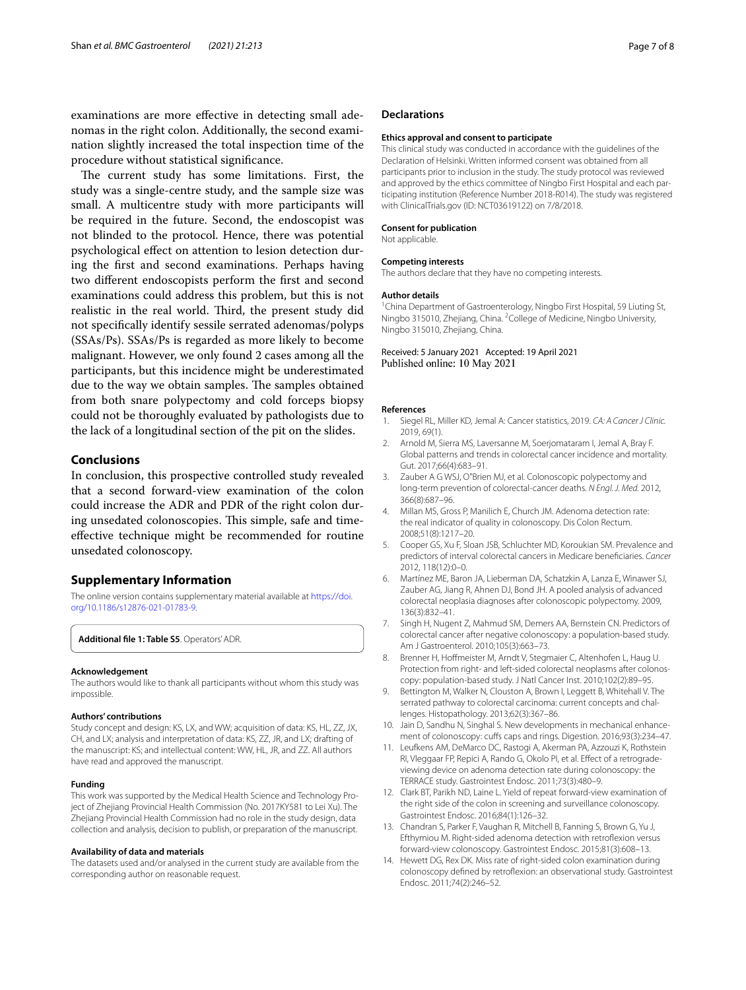examinations are more efective in detecting small adenomas in the right colon. Additionally, the second examination slightly increased the total inspection time of the procedure without statistical signifcance.

The current study has some limitations. First, the study was a single-centre study, and the sample size was small. A multicentre study with more participants will be required in the future. Second, the endoscopist was not blinded to the protocol. Hence, there was potential psychological efect on attention to lesion detection during the frst and second examinations. Perhaps having two diferent endoscopists perform the frst and second examinations could address this problem, but this is not realistic in the real world. Third, the present study did not specifcally identify sessile serrated adenomas/polyps (SSAs/Ps). SSAs/Ps is regarded as more likely to become malignant. However, we only found 2 cases among all the participants, but this incidence might be underestimated due to the way we obtain samples. The samples obtained from both snare polypectomy and cold forceps biopsy could not be thoroughly evaluated by pathologists due to the lack of a longitudinal section of the pit on the slides.

# **Conclusions**

In conclusion, this prospective controlled study revealed that a second forward-view examination of the colon could increase the ADR and PDR of the right colon during unsedated colonoscopies. This simple, safe and timeefective technique might be recommended for routine unsedated colonoscopy.

## **Supplementary Information**

The online version contains supplementary material available at [https://doi.](https://doi.org/10.1186/s12876-021-01783-9) [org/10.1186/s12876-021-01783-9](https://doi.org/10.1186/s12876-021-01783-9).

<span id="page-6-14"></span>**Additional fle 1: Table S5**. Operators' ADR.

#### **Acknowledgement**

The authors would like to thank all participants without whom this study was impossible.

#### **Authors' contributions**

Study concept and design: KS, LX, and WW; acquisition of data: KS, HL, ZZ, JX, CH, and LX; analysis and interpretation of data: KS, ZZ, JR, and LX; drafting of the manuscript: KS; and intellectual content: WW, HL, JR, and ZZ. All authors have read and approved the manuscript.

## **Funding**

This work was supported by the Medical Health Science and Technology Project of Zhejiang Provincial Health Commission (No. 2017KY581 to Lei Xu). The Zhejiang Provincial Health Commission had no role in the study design, data collection and analysis, decision to publish, or preparation of the manuscript.

### **Availability of data and materials**

The datasets used and/or analysed in the current study are available from the corresponding author on reasonable request.

## **Declarations**

#### **Ethics approval and consent to participate**

This clinical study was conducted in accordance with the guidelines of the Declaration of Helsinki. Written informed consent was obtained from all participants prior to inclusion in the study. The study protocol was reviewed and approved by the ethics committee of Ningbo First Hospital and each participating institution (Reference Number 2018-R014). The study was registered with ClinicalTrials.gov (ID: NCT03619122) on 7/8/2018.

#### **Consent for publication**

Not applicable.

#### **Competing interests**

The authors declare that they have no competing interests.

#### **Author details**

<sup>1</sup> China Department of Gastroenterology, Ningbo First Hospital, 59 Liuting St, Ningbo 315010, Zhejiang, China. <sup>2</sup> College of Medicine, Ningbo University, Ningbo 315010, Zhejiang, China.

### Received: 5 January 2021 Accepted: 19 April 2021 Published online: 10 May 2021

#### **References**

- <span id="page-6-0"></span>1. Siegel RL, Miller KD, Jemal A: Cancer statistics, 2019. *CA: A Cancer J Clinic.* 2019, 69(1).
- <span id="page-6-1"></span>2. Arnold M, Sierra MS, Laversanne M, Soerjomataram I, Jemal A, Bray F. Global patterns and trends in colorectal cancer incidence and mortality. Gut. 2017;66(4):683–91.
- <span id="page-6-2"></span>3. Zauber A G WSJ, O"Brien MJ, et al. Colonoscopic polypectomy and long-term prevention of colorectal-cancer deaths. *N Engl. J. Med.* 2012, 366(8):687–96.
- <span id="page-6-3"></span>4. Millan MS, Gross P, Manilich E, Church JM. Adenoma detection rate: the real indicator of quality in colonoscopy. Dis Colon Rectum. 2008;51(8):1217–20.
- <span id="page-6-4"></span>5. Cooper GS, Xu F, Sloan JSB, Schluchter MD, Koroukian SM. Prevalence and predictors of interval colorectal cancers in Medicare benefciaries. *Cancer* 2012, 118(12):0–0.
- <span id="page-6-5"></span>6. Martínez ME, Baron JA, Lieberman DA, Schatzkin A, Lanza E, Winawer SJ, Zauber AG, Jiang R, Ahnen DJ, Bond JH. A pooled analysis of advanced colorectal neoplasia diagnoses after colonoscopic polypectomy. 2009, 136(3):832–41.
- <span id="page-6-6"></span>7. Singh H, Nugent Z, Mahmud SM, Demers AA, Bernstein CN. Predictors of colorectal cancer after negative colonoscopy: a population-based study. Am J Gastroenterol. 2010;105(3):663–73.
- <span id="page-6-7"></span>8. Brenner H, Hoffmeister M, Arndt V, Stegmaier C, Altenhofen L, Haug U. Protection from right- and left-sided colorectal neoplasms after colonoscopy: population-based study. J Natl Cancer Inst. 2010;102(2):89–95.
- <span id="page-6-8"></span>9. Bettington M, Walker N, Clouston A, Brown I, Leggett B, Whitehall V. The serrated pathway to colorectal carcinoma: current concepts and challenges. Histopathology. 2013;62(3):367–86.
- <span id="page-6-9"></span>10. Jain D, Sandhu N, Singhal S. New developments in mechanical enhancement of colonoscopy: cuffs caps and rings. Digestion. 2016;93(3):234-47.
- <span id="page-6-10"></span>11. Leufkens AM, DeMarco DC, Rastogi A, Akerman PA, Azzouzi K, Rothstein RI, Vleggaar FP, Repici A, Rando G, Okolo PI, et al. Efect of a retrogradeviewing device on adenoma detection rate during colonoscopy: the TERRACE study. Gastrointest Endosc. 2011;73(3):480–9.
- <span id="page-6-11"></span>12. Clark BT, Parikh ND, Laine L. Yield of repeat forward-view examination of the right side of the colon in screening and surveillance colonoscopy. Gastrointest Endosc. 2016;84(1):126–32.
- <span id="page-6-12"></span>13. Chandran S, Parker F, Vaughan R, Mitchell B, Fanning S, Brown G, Yu J, Efthymiou M. Right-sided adenoma detection with retrofexion versus forward-view colonoscopy. Gastrointest Endosc. 2015;81(3):608–13.
- <span id="page-6-13"></span>14. Hewett DG, Rex DK. Miss rate of right-sided colon examination during colonoscopy defned by retrofexion: an observational study. Gastrointest Endosc. 2011;74(2):246–52.